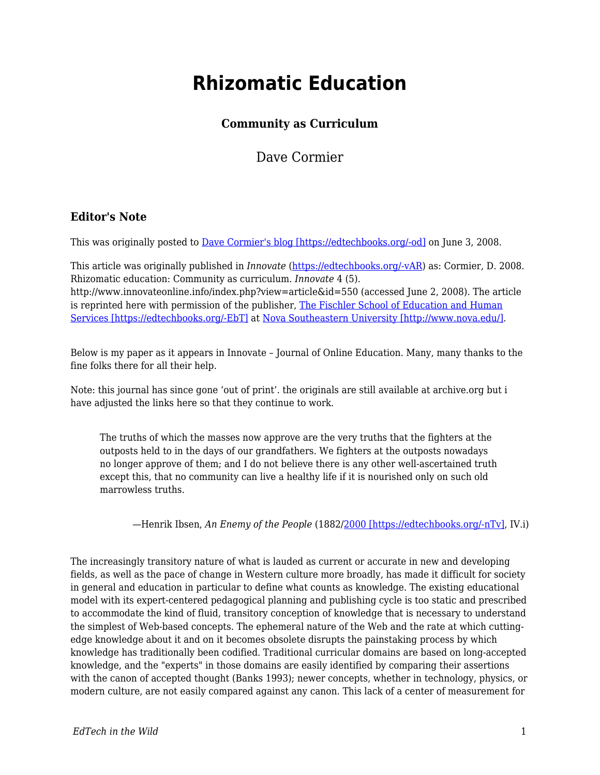# **Rhizomatic Education**

#### **Community as Curriculum**

Dave Cormier

#### **Editor's Note**

This was originally posted to [Dave Cormier's blog \[https://edtechbooks.org/-od\]](http://davecormier.com/edblog/2008/06/03/rhizomatic-education-community-as-curriculum/) on June 3, 2008.

This article was originally published in *Innovate* [\(https://edtechbooks.org/-vAR](http://www.innovateonline.info/)) as: Cormier, D. 2008. Rhizomatic education: Community as curriculum. *Innovate* 4 (5). http://www.innovateonline.info/index.php?view=article&id=550 (accessed June 2, 2008). The article is reprinted here with permission of the publisher, [The Fischler School of Education and Human](http://www.schoolofed.nova.edu/) [Services \[https://edtechbooks.org/-EbT\]](http://www.schoolofed.nova.edu/) at [Nova Southeastern University \[http://www.nova.edu/\].](http://www.nova.edu/)

Below is my paper as it appears in Innovate – Journal of Online Education. Many, many thanks to the fine folks there for all their help.

Note: this journal has since gone 'out of print'. the originals are still available at archive.org but i have adjusted the links here so that they continue to work.

The truths of which the masses now approve are the very truths that the fighters at the outposts held to in the days of our grandfathers. We fighters at the outposts nowadays no longer approve of them; and I do not believe there is any other well-ascertained truth except this, that no community can live a healthy life if it is nourished only on such old marrowless truths.

—Henrik Ibsen, *An Enemy of the People* (1882/[2000 \[https://edtechbooks.org/-nTv\],](http://www.gutenberg.org/dirs/etext00/aeotp10.txt) IV.i)

The increasingly transitory nature of what is lauded as current or accurate in new and developing fields, as well as the pace of change in Western culture more broadly, has made it difficult for society in general and education in particular to define what counts as knowledge. The existing educational model with its expert-centered pedagogical planning and publishing cycle is too static and prescribed to accommodate the kind of fluid, transitory conception of knowledge that is necessary to understand the simplest of Web-based concepts. The ephemeral nature of the Web and the rate at which cuttingedge knowledge about it and on it becomes obsolete disrupts the painstaking process by which knowledge has traditionally been codified. Traditional curricular domains are based on long-accepted knowledge, and the "experts" in those domains are easily identified by comparing their assertions with the canon of accepted thought (Banks 1993); newer concepts, whether in technology, physics, or modern culture, are not easily compared against any canon. This lack of a center of measurement for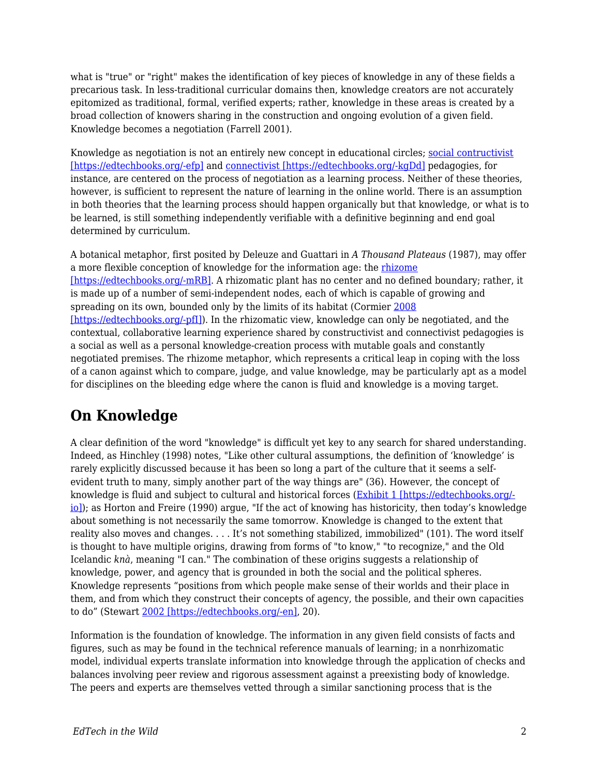what is "true" or "right" makes the identification of key pieces of knowledge in any of these fields a precarious task. In less-traditional curricular domains then, knowledge creators are not accurately epitomized as traditional, formal, verified experts; rather, knowledge in these areas is created by a broad collection of knowers sharing in the construction and ongoing evolution of a given field. Knowledge becomes a negotiation (Farrell 2001).

Knowledge as negotiation is not an entirely new concept in educational circles; [social contructivist](http://www.innovateonline.info/extra.php?id=2770) [\[https://edtechbooks.org/-efp\]](http://www.innovateonline.info/extra.php?id=2770) and [connectivist \[https://edtechbooks.org/-kgDd\]](http://www.innovateonline.info/extra.php?id=2771) pedagogies, for instance, are centered on the process of negotiation as a learning process. Neither of these theories, however, is sufficient to represent the nature of learning in the online world. There is an assumption in both theories that the learning process should happen organically but that knowledge, or what is to be learned, is still something independently verifiable with a definitive beginning and end goal determined by curriculum.

A botanical metaphor, first posited by Deleuze and Guattari in *A Thousand Plateaus* (1987), may offer a more flexible conception of knowledge for the information age: the [rhizome](http://en.wikipedia.org/wiki/Rhizome) [\[https://edtechbooks.org/-mRB\]](http://en.wikipedia.org/wiki/Rhizome). A rhizomatic plant has no center and no defined boundary; rather, it is made up of a number of semi-independent nodes, each of which is capable of growing and spreading on its own, bounded only by the limits of its habitat (Cormier [2008](http://www.webcitation.org/5XfE5yYAY) [\[https://edtechbooks.org/-pfI\]](http://www.webcitation.org/5XfE5yYAY)). In the rhizomatic view, knowledge can only be negotiated, and the contextual, collaborative learning experience shared by constructivist and connectivist pedagogies is a social as well as a personal knowledge-creation process with mutable goals and constantly negotiated premises. The rhizome metaphor, which represents a critical leap in coping with the loss of a canon against which to compare, judge, and value knowledge, may be particularly apt as a model for disciplines on the bleeding edge where the canon is fluid and knowledge is a moving target.

# **On Knowledge**

A clear definition of the word "knowledge" is difficult yet key to any search for shared understanding. Indeed, as Hinchley (1998) notes, "Like other cultural assumptions, the definition of 'knowledge' is rarely explicitly discussed because it has been so long a part of the culture that it seems a selfevident truth to many, simply another part of the way things are" (36). However, the concept of knowledge is fluid and subject to cultural and historical forces ([Exhibit 1 \[https://edtechbooks.org/](http://davecormier.com/edblog/wp-content/uploads/Knowledge-exhibit-1.pdf) [io\]\)](http://davecormier.com/edblog/wp-content/uploads/Knowledge-exhibit-1.pdf); as Horton and Freire (1990) argue, "If the act of knowing has historicity, then today's knowledge about something is not necessarily the same tomorrow. Knowledge is changed to the extent that reality also moves and changes. . . . It's not something stabilized, immobilized" (101). The word itself is thought to have multiple origins, drawing from forms of "to know," "to recognize," and the Old Icelandic *knà*, meaning "I can." The combination of these origins suggests a relationship of knowledge, power, and agency that is grounded in both the social and the political spheres. Knowledge represents "positions from which people make sense of their worlds and their place in them, and from which they construct their concepts of agency, the possible, and their own capacities to do" (Stewart [2002 \[https://edtechbooks.org/-en\]](http://www.webcitation.org/5Xed19AOc), 20).

Information is the foundation of knowledge. The information in any given field consists of facts and figures, such as may be found in the technical reference manuals of learning; in a nonrhizomatic model, individual experts translate information into knowledge through the application of checks and balances involving peer review and rigorous assessment against a preexisting body of knowledge. The peers and experts are themselves vetted through a similar sanctioning process that is the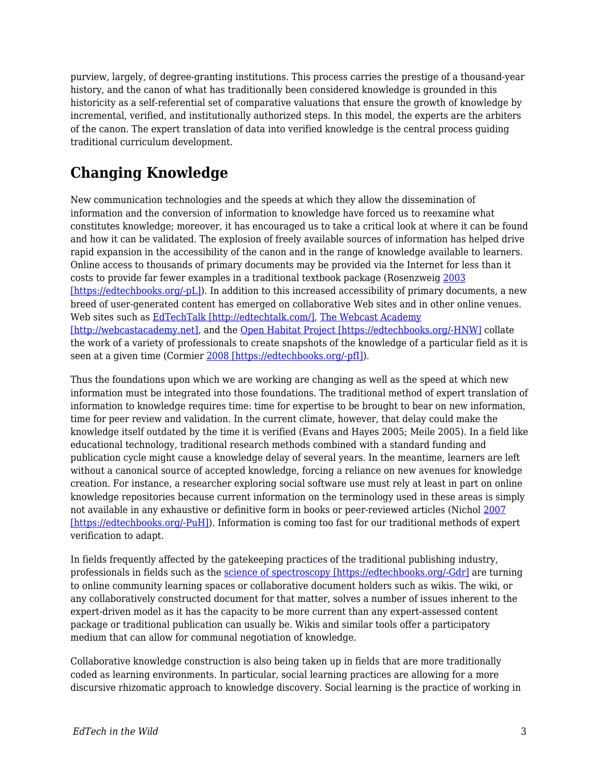purview, largely, of degree-granting institutions. This process carries the prestige of a thousand-year history, and the canon of what has traditionally been considered knowledge is grounded in this historicity as a self-referential set of comparative valuations that ensure the growth of knowledge by incremental, verified, and institutionally authorized steps. In this model, the experts are the arbiters of the canon. The expert translation of data into verified knowledge is the central process guiding traditional curriculum development.

# **Changing Knowledge**

New communication technologies and the speeds at which they allow the dissemination of information and the conversion of information to knowledge have forced us to reexamine what constitutes knowledge; moreover, it has encouraged us to take a critical look at where it can be found and how it can be validated. The explosion of freely available sources of information has helped drive rapid expansion in the accessibility of the canon and in the range of knowledge available to learners. Online access to thousands of primary documents may be provided via the Internet for less than it costs to provide far fewer examples in a traditional textbook package (Rosenzweig [2003](http://www.webcitation.org/5XeceCRlv) [\[https://edtechbooks.org/-pL\]](http://www.webcitation.org/5XeceCRlv)). In addition to this increased accessibility of primary documents, a new breed of user-generated content has emerged on collaborative Web sites and in other online venues. Web sites such as [EdTechTalk \[http://edtechtalk.com/\],](http://edtechtalk.com/) [The Webcast Academy](http://webcastacademy.net) [\[http://webcastacademy.net\]](http://webcastacademy.net), and the [Open Habitat Project \[https://edtechbooks.org/-HNW\]](http://www.openhabitat.org/welcome) collate the work of a variety of professionals to create snapshots of the knowledge of a particular field as it is seen at a given time (Cormier [2008 \[https://edtechbooks.org/-pfI\]\)](http://www.webcitation.org/5XfE5yYAY).

Thus the foundations upon which we are working are changing as well as the speed at which new information must be integrated into those foundations. The traditional method of expert translation of information to knowledge requires time: time for expertise to be brought to bear on new information, time for peer review and validation. In the current climate, however, that delay could make the knowledge itself outdated by the time it is verified (Evans and Hayes 2005; Meile 2005). In a field like educational technology, traditional research methods combined with a standard funding and publication cycle might cause a knowledge delay of several years. In the meantime, learners are left without a canonical source of accepted knowledge, forcing a reliance on new avenues for knowledge creation. For instance, a researcher exploring social software use must rely at least in part on online knowledge repositories because current information on the terminology used in these areas is simply not available in any exhaustive or definitive form in books or peer-reviewed articles (Nichol [2007](http://www.webcitation.org/5XsmiN7j1) [\[https://edtechbooks.org/-PuH\]](http://www.webcitation.org/5XsmiN7j1)). Information is coming too fast for our traditional methods of expert verification to adapt.

In fields frequently affected by the gatekeeping practices of the traditional publishing industry, professionals in fields such as the [science of spectroscopy \[https://edtechbooks.org/-Gdr\]](http://www.scienceofspectroscopy.info/) are turning to online community learning spaces or collaborative document holders such as wikis. The wiki, or any collaboratively constructed document for that matter, solves a number of issues inherent to the expert-driven model as it has the capacity to be more current than any expert-assessed content package or traditional publication can usually be. Wikis and similar tools offer a participatory medium that can allow for communal negotiation of knowledge.

Collaborative knowledge construction is also being taken up in fields that are more traditionally coded as learning environments. In particular, social learning practices are allowing for a more discursive rhizomatic approach to knowledge discovery. Social learning is the practice of working in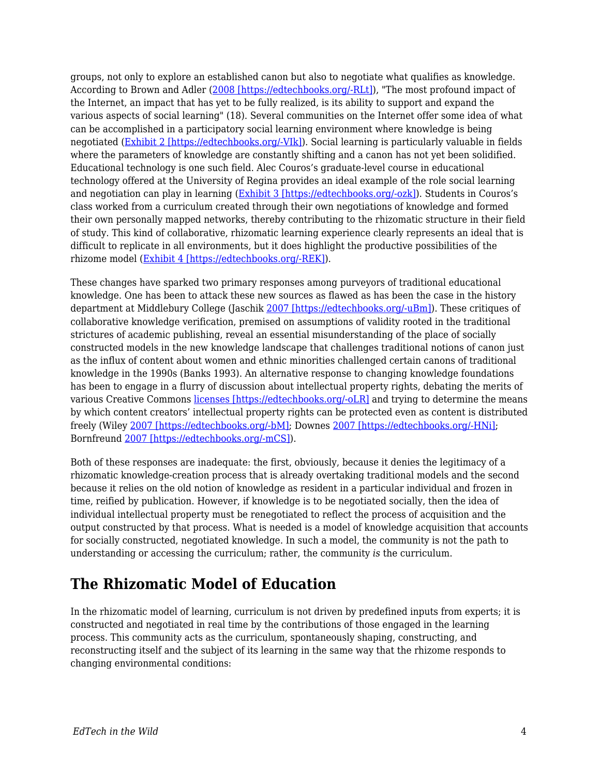groups, not only to explore an established canon but also to negotiate what qualifies as knowledge. According to Brown and Adler ([2008 \[https://edtechbooks.org/-RLt\]](http://www.webcitation.org/5XebnBMZ4)), "The most profound impact of the Internet, an impact that has yet to be fully realized, is its ability to support and expand the various aspects of social learning" (18). Several communities on the Internet offer some idea of what can be accomplished in a participatory social learning environment where knowledge is being negotiated [\(Exhibit 2 \[https://edtechbooks.org/-VIk\]](http://davecormier.com/edblog/wp-content/uploads/The-Open-Habitat-Project-is-an-effort-exhibit-2.pdf)). Social learning is particularly valuable in fields where the parameters of knowledge are constantly shifting and a canon has not yet been solidified. Educational technology is one such field. Alec Couros's graduate-level course in educational technology offered at the University of Regina provides an ideal example of the role social learning and negotiation can play in learning ([Exhibit 3 \[https://edtechbooks.org/-ozk\]\)](http://davecormier.com/edblog/wp-content/uploads/Computers-in-the-classroom-exhibit-3.pdf). Students in Couros's class worked from a curriculum created through their own negotiations of knowledge and formed their own personally mapped networks, thereby contributing to the rhizomatic structure in their field of study. This kind of collaborative, rhizomatic learning experience clearly represents an ideal that is difficult to replicate in all environments, but it does highlight the productive possibilities of the rhizome model [\(Exhibit 4 \[https://edtechbooks.org/-REK\]\)](http://davecormier.com/edblog/wp-content/uploads/Alec-author-discussion.pdf).

These changes have sparked two primary responses among purveyors of traditional educational knowledge. One has been to attack these new sources as flawed as has been the case in the history department at Middlebury College (Jaschik [2007 \[https://edtechbooks.org/-uBm\]](http://www.webcitation.org/5XecVR535)). These critiques of collaborative knowledge verification, premised on assumptions of validity rooted in the traditional strictures of academic publishing, reveal an essential misunderstanding of the place of socially constructed models in the new knowledge landscape that challenges traditional notions of canon just as the influx of content about women and ethnic minorities challenged certain canons of traditional knowledge in the 1990s (Banks 1993). An alternative response to changing knowledge foundations has been to engage in a flurry of discussion about intellectual property rights, debating the merits of various Creative Commons [licenses \[https://edtechbooks.org/-oLR\]](http://creativecommons.org/about/licenses/meet-the-licenses) and trying to determine the means by which content creators' intellectual property rights can be protected even as content is distributed freely (Wiley [2007 \[https://edtechbooks.org/-bM\]](http://www.webcitation.org/5XedHwkrA); Downes [2007 \[https://edtechbooks.org/-HNi\];](http://www.webcitation.org/5Xec3eUaX) Bornfreund [2007 \[https://edtechbooks.org/-mCS\]](http://ltc.umanitoba.ca/conferences/copyright/Marcus_Bornfreund/Marcus_Bornfreund.html)).

Both of these responses are inadequate: the first, obviously, because it denies the legitimacy of a rhizomatic knowledge-creation process that is already overtaking traditional models and the second because it relies on the old notion of knowledge as resident in a particular individual and frozen in time, reified by publication. However, if knowledge is to be negotiated socially, then the idea of individual intellectual property must be renegotiated to reflect the process of acquisition and the output constructed by that process. What is needed is a model of knowledge acquisition that accounts for socially constructed, negotiated knowledge. In such a model, the community is not the path to understanding or accessing the curriculum; rather, the community *is* the curriculum.

## **The Rhizomatic Model of Education**

In the rhizomatic model of learning, curriculum is not driven by predefined inputs from experts; it is constructed and negotiated in real time by the contributions of those engaged in the learning process. This community acts as the curriculum, spontaneously shaping, constructing, and reconstructing itself and the subject of its learning in the same way that the rhizome responds to changing environmental conditions: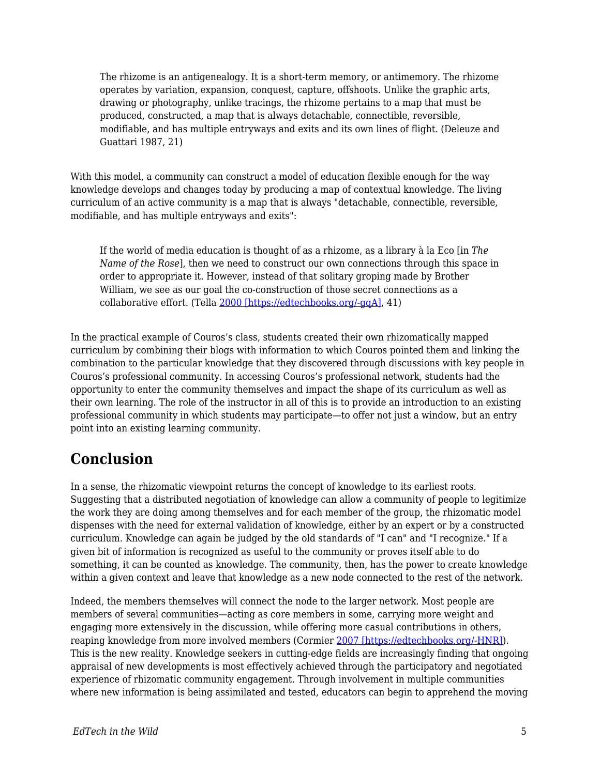The rhizome is an antigenealogy. It is a short-term memory, or antimemory. The rhizome operates by variation, expansion, conquest, capture, offshoots. Unlike the graphic arts, drawing or photography, unlike tracings, the rhizome pertains to a map that must be produced, constructed, a map that is always detachable, connectible, reversible, modifiable, and has multiple entryways and exits and its own lines of flight. (Deleuze and Guattari 1987, 21)

With this model, a community can construct a model of education flexible enough for the way knowledge develops and changes today by producing a map of contextual knowledge. The living curriculum of an active community is a map that is always "detachable, connectible, reversible, modifiable, and has multiple entryways and exits":

If the world of media education is thought of as a rhizome, as a library à la Eco [in *The Name of the Rose*], then we need to construct our own connections through this space in order to appropriate it. However, instead of that solitary groping made by Brother William, we see as our goal the co-construction of those secret connections as a collaborative effort. (Tella [2000 \[https://edtechbooks.org/-gqA\]](http://www.webcitation.org/5XedAvMUG), 41)

In the practical example of Couros's class, students created their own rhizomatically mapped curriculum by combining their blogs with information to which Couros pointed them and linking the combination to the particular knowledge that they discovered through discussions with key people in Couros's professional community. In accessing Couros's professional network, students had the opportunity to enter the community themselves and impact the shape of its curriculum as well as their own learning. The role of the instructor in all of this is to provide an introduction to an existing professional community in which students may participate—to offer not just a window, but an entry point into an existing learning community.

### **Conclusion**

In a sense, the rhizomatic viewpoint returns the concept of knowledge to its earliest roots. Suggesting that a distributed negotiation of knowledge can allow a community of people to legitimize the work they are doing among themselves and for each member of the group, the rhizomatic model dispenses with the need for external validation of knowledge, either by an expert or by a constructed curriculum. Knowledge can again be judged by the old standards of "I can" and "I recognize." If a given bit of information is recognized as useful to the community or proves itself able to do something, it can be counted as knowledge. The community, then, has the power to create knowledge within a given context and leave that knowledge as a new node connected to the rest of the network.

Indeed, the members themselves will connect the node to the larger network. Most people are members of several communities—acting as core members in some, carrying more weight and engaging more extensively in the discussion, while offering more casual contributions in others, reaping knowledge from more involved members (Cormier [2007 \[https://edtechbooks.org/-HNR\]](http://www.webcitation.org/5XebgJkGU)). This is the new reality. Knowledge seekers in cutting-edge fields are increasingly finding that ongoing appraisal of new developments is most effectively achieved through the participatory and negotiated experience of rhizomatic community engagement. Through involvement in multiple communities where new information is being assimilated and tested, educators can begin to apprehend the moving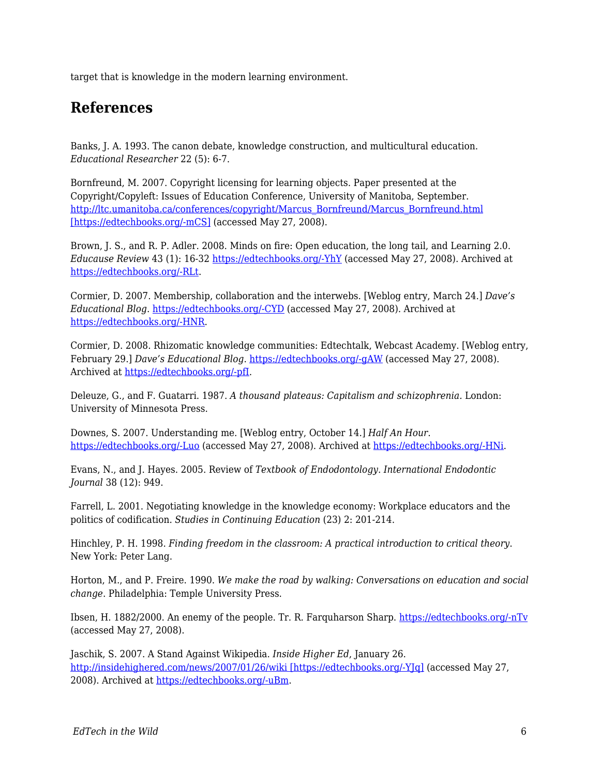target that is knowledge in the modern learning environment.

### **References**

Banks, J. A. 1993. The canon debate, knowledge construction, and multicultural education. *Educational Researcher* 22 (5): 6-7.

Bornfreund, M. 2007. Copyright licensing for learning objects. Paper presented at the Copyright/Copyleft: Issues of Education Conference, University of Manitoba, September. [http://ltc.umanitoba.ca/conferences/copyright/Marcus\\_Bornfreund/Marcus\\_Bornfreund.html](http://ltc.umanitoba.ca/conferences/copyright/Marcus_Bornfreund/Marcus_Bornfreund.html) [\[https://edtechbooks.org/-mCS\]](http://ltc.umanitoba.ca/conferences/copyright/Marcus_Bornfreund/Marcus_Bornfreund.html) (accessed May 27, 2008).

Brown, J. S., and R. P. Adler. 2008. Minds on fire: Open education, the long tail, and Learning 2.0. *Educause Review* 43 (1): 16-32 [https://edtechbooks.org/-YhY](http://connect.educause.edu/Library/EDUCAUSE+Review/MindsonFireOpenEducationt/45823) (accessed May 27, 2008). Archived at [https://edtechbooks.org/-RLt.](http://www.webcitation.org/5XebnBMZ4)

Cormier, D. 2007. Membership, collaboration and the interwebs. [Weblog entry, March 24.] *Dave's Educational Blog*. [https://edtechbooks.org/-CYD](http://davecormier.com/edblog/?p=95) (accessed May 27, 2008). Archived at [https://edtechbooks.org/-HNR.](http://www.webcitation.org/5XebgJkGU)

Cormier, D. 2008. Rhizomatic knowledge communities: Edtechtalk, Webcast Academy. [Weblog entry, February 29.] *Dave's Educational Blog*. [https://edtechbooks.org/-gAW](http://davecormier.com/edblog/2008/02/29/rhizomatic-knowledge-communities-edtechtalk-webcast-academy/) (accessed May 27, 2008). Archived at [https://edtechbooks.org/-pfI](http://www.webcitation.org/5XfE5yYAY).

Deleuze, G., and F. Guatarri. 1987. *A thousand plateaus: Capitalism and schizophrenia.* London: University of Minnesota Press.

Downes, S. 2007. Understanding me. [Weblog entry, October 14.] *Half An Hour*. [https://edtechbooks.org/-Luo](http://halfanhour.blogspot.com/2007/10/understanding-me.html) (accessed May 27, 2008). Archived at [https://edtechbooks.org/-HNi](http://www.webcitation.org/5Xec3eUaX).

Evans, N., and J. Hayes. 2005. Review of *Textbook of Endodontology*. *International Endodontic Journal* 38 (12): 949.

Farrell, L. 2001. Negotiating knowledge in the knowledge economy: Workplace educators and the politics of codification. *Studies in Continuing Education* (23) 2: 201-214.

Hinchley, P. H. 1998. *Finding freedom in the classroom: A practical introduction to critical theory*. New York: Peter Lang.

Horton, M., and P. Freire. 1990. *We make the road by walking: Conversations on education and social change*. Philadelphia: Temple University Press.

Ibsen, H. 1882/2000. An enemy of the people. Tr. R. Farquharson Sharp. [https://edtechbooks.org/-nTv](http://www.gutenberg.org/dirs/etext00/aeotp10.txt) (accessed May 27, 2008).

Jaschik, S. 2007. A Stand Against Wikipedia. *Inside Higher Ed*, January 26. [http://insidehighered.com/news/2007/01/26/wiki \[https://edtechbooks.org/-YJq\]](http://insidehighered.com/news/2007/01/26/wiki) (accessed May 27, 2008). Archived at [https://edtechbooks.org/-uBm.](http://www.webcitation.org/5XecVR535)